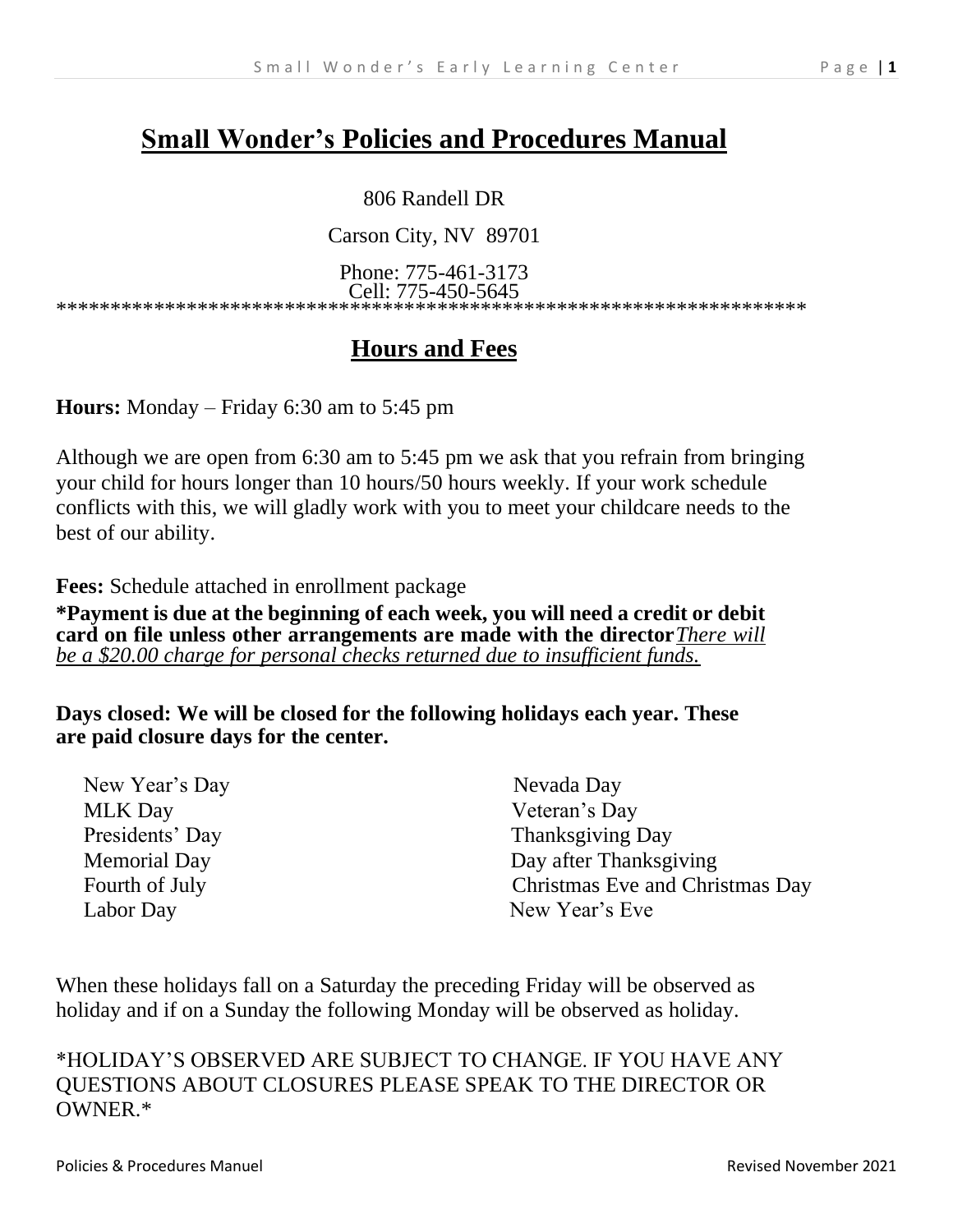# **Small Wonder's Policies and Procedures Manual**

#### 806 Randell DR

Carson City, NV 89701

Phone: 775-461-3173 Cell: 775-450-5645

\*\*\*\*\*\*\*\*\*\*\*\*\*\*\*\*\*\*\*\*\*\*\*\*\*\*\*\*\*\*\*\*\*\*\*\*\*\*\*\*\*\*\*\*\*\*\*\*\*\*\*\*\*\*\*\*\*\*\*\*\*\*\*\*\*\*\*\*\*

# **Hours and Fees**

**Hours:** Monday – Friday 6:30 am to 5:45 pm

Although we are open from 6:30 am to 5:45 pm we ask that you refrain from bringing your child for hours longer than 10 hours/50 hours weekly. If your work schedule conflicts with this, we will gladly work with you to meet your childcare needs to the best of our ability.

**Fees:** Schedule attached in enrollment package

**\*Payment is due at the beginning of each week, you will need a credit or debit card on file unless other arrangements are made with the director***There will be a \$20.00 charge for personal checks returned due to insufficient funds.*

**Days closed: We will be closed for the following holidays each year. These are paid closure days for the center.**

| New Year's Day      | Nevada Day                      |
|---------------------|---------------------------------|
| <b>MLK</b> Day      | Veteran's Day                   |
| Presidents' Day     | Thanksgiving Day                |
| <b>Memorial Day</b> | Day after Thanksgiving          |
| Fourth of July      | Christmas Eve and Christmas Day |
| Labor Day           | New Year's Eve                  |
|                     |                                 |

When these holidays fall on a Saturday the preceding Friday will be observed as holiday and if on a Sunday the following Monday will be observed as holiday.

\*HOLIDAY'S OBSERVED ARE SUBJECT TO CHANGE. IF YOU HAVE ANY QUESTIONS ABOUT CLOSURES PLEASE SPEAK TO THE DIRECTOR OR OWNER.\*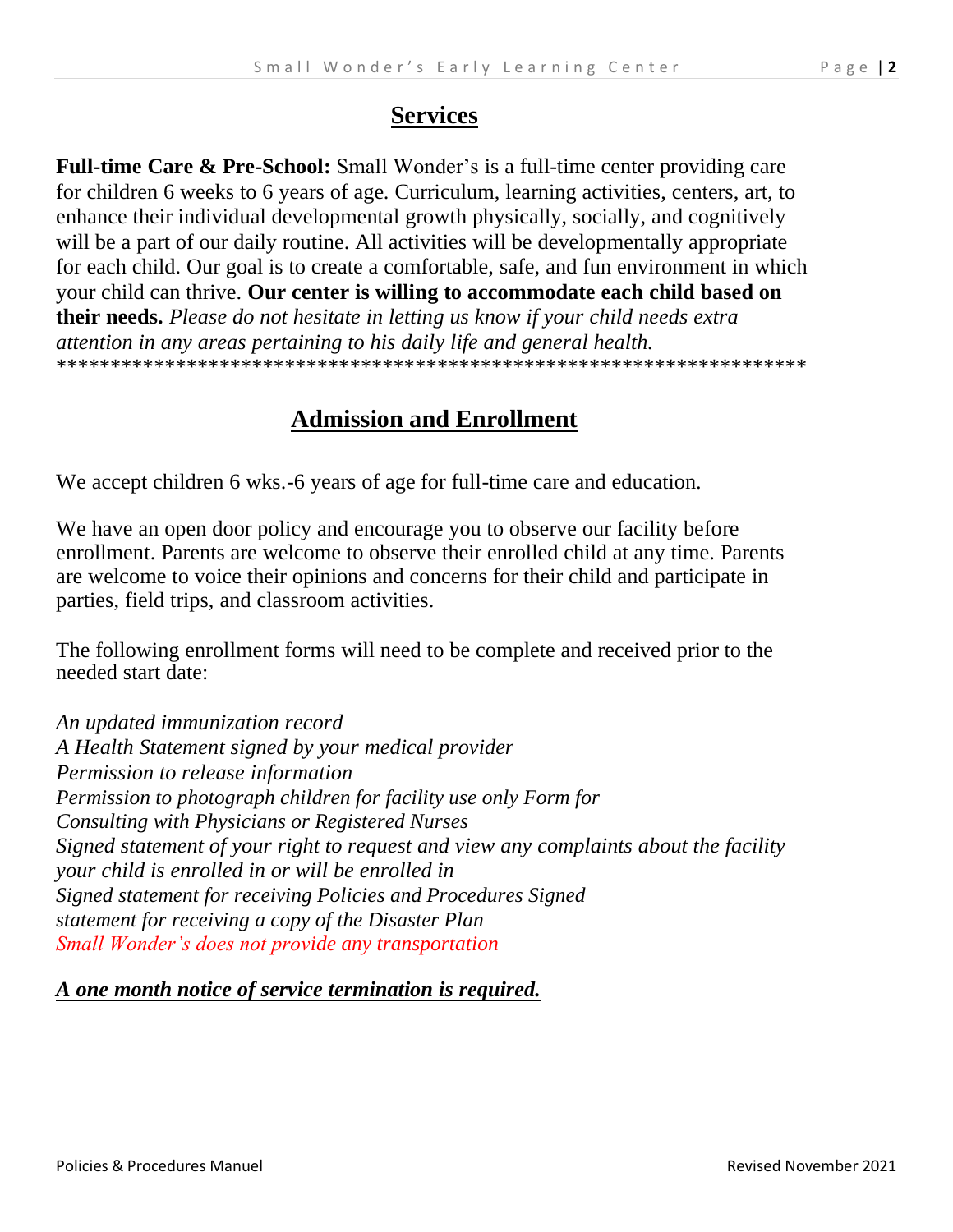Full-time Care & Pre-School: Small Wonder's is a full-time center providing care for children 6 weeks to 6 years of age. Curriculum, learning activities, centers, art, to enhance their individual developmental growth physically, socially, and cognitively will be a part of our daily routine. All activities will be developmentally appropriate for each child. Our goal is to create a comfortable, safe, and fun environment in which your child can thrive. **Our center is willing to accommodate each child based on their needs.** *Please do not hesitate in letting us know if your child needs extra attention in any areas pertaining to his daily life and general health.* \*\*\*\*\*\*\*\*\*\*\*\*\*\*\*\*\*\*\*\*\*\*\*\*\*\*\*\*\*\*\*\*\*\*\*\*\*\*\*\*\*\*\*\*\*\*\*\*\*\*\*\*\*\*\*\*\*\*\*\*\*\*\*\*\*\*\*\*\*

## **Admission and Enrollment**

We accept children 6 wks.-6 years of age for full-time care and education.

We have an open door policy and encourage you to observe our facility before enrollment. Parents are welcome to observe their enrolled child at any time. Parents are welcome to voice their opinions and concerns for their child and participate in parties, field trips, and classroom activities.

The following enrollment forms will need to be complete and received prior to the needed start date:

*An updated immunization record A Health Statement signed by your medical provider Permission to release information Permission to photograph children for facility use only Form for Consulting with Physicians or Registered Nurses Signed statement of your right to request and view any complaints about the facility your child is enrolled in or will be enrolled in Signed statement for receiving Policies and Procedures Signed statement for receiving a copy of the Disaster Plan Small Wonder's does not provide any transportation*

#### *A one month notice of service termination is required.*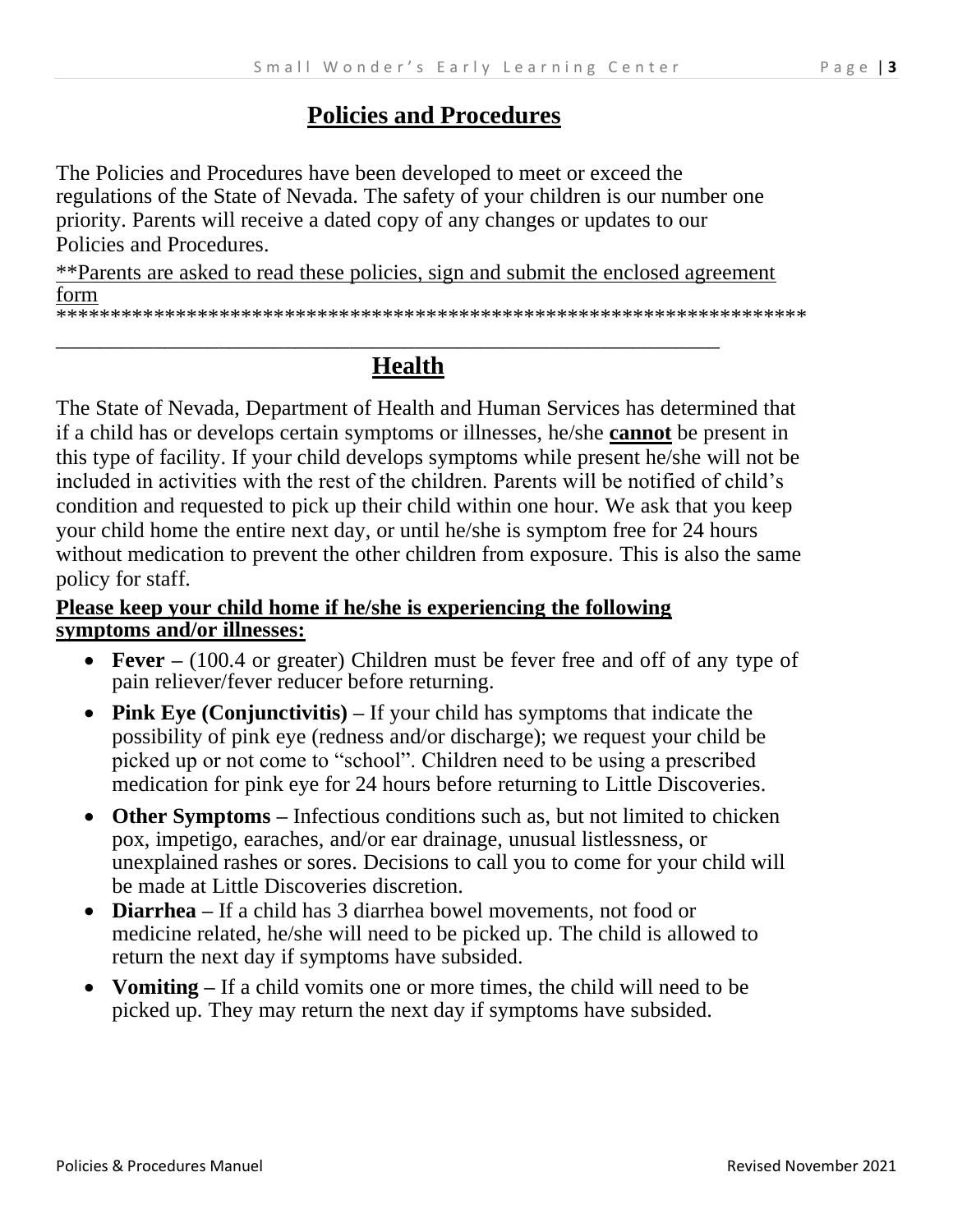### **Policies and Procedures**

The Policies and Procedures have been developed to meet or exceed the regulations of the State of Nevada. The safety of your children is our number one priority. Parents will receive a dated copy of any changes or updates to our Policies and Procedures.

\*\*Parents are asked to read these policies, sign and submit the enclosed agreement form

\*\*\*\*\*\*\*\*\*\*\*\*\*\*\*\*\*\*\*\*\*\*\*\*\*\*\*\*\*\*\*\*\*\*\*\*\*\*\*\*\*\*\*\*\*\*\*\*\*\*\*\*\*\*\*\*\*\*\*\*\*\*\*\*\*\*\*\*\*

# **Health**

*\_\_\_\_\_\_\_\_\_\_\_\_\_\_\_\_\_\_\_\_\_\_\_\_\_\_\_\_\_\_\_\_\_\_\_\_\_\_\_\_\_\_\_\_\_\_\_\_\_\_\_\_\_\_\_\_\_\_\_\_\_*

The State of Nevada, Department of Health and Human Services has determined that if a child has or develops certain symptoms or illnesses, he/she **cannot** be present in this type of facility. If your child develops symptoms while present he/she will not be included in activities with the rest of the children. Parents will be notified of child's condition and requested to pick up their child within one hour. We ask that you keep your child home the entire next day, or until he/she is symptom free for 24 hours without medication to prevent the other children from exposure. This is also the same policy for staff.

#### **Please keep your child home if he/she is experiencing the following symptoms and/or illnesses:**

- **Fever –** (100.4 or greater) Children must be fever free and off of any type of pain reliever/fever reducer before returning.
- **Pink Eye (Conjunctivitis)** If your child has symptoms that indicate the possibility of pink eye (redness and/or discharge); we request your child be picked up or not come to "school". Children need to be using a prescribed medication for pink eye for 24 hours before returning to Little Discoveries.
- **Other Symptoms –** Infectious conditions such as, but not limited to chicken pox, impetigo, earaches, and/or ear drainage, unusual listlessness, or unexplained rashes or sores. Decisions to call you to come for your child will be made at Little Discoveries discretion.
- **Diarrhea –** If a child has 3 diarrhea bowel movements, not food or medicine related, he/she will need to be picked up. The child is allowed to return the next day if symptoms have subsided.
- **Vomiting –** If a child vomits one or more times, the child will need to be picked up. They may return the next day if symptoms have subsided.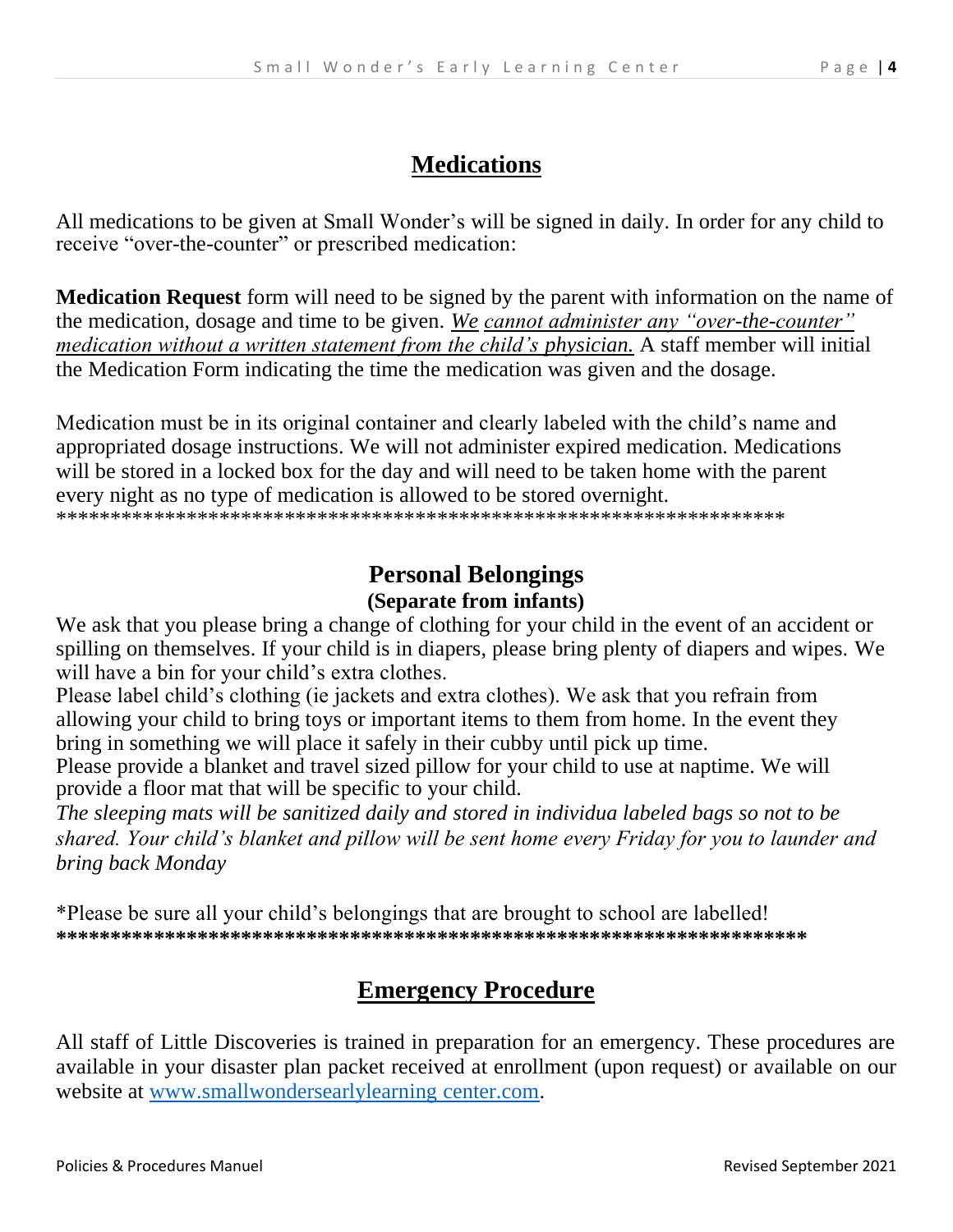## **Medications**

All medications to be given at Small Wonder's will be signed in daily. In order for any child to receive "over-the-counter" or prescribed medication:

**Medication Request** form will need to be signed by the parent with information on the name of the medication, dosage and time to be given. *We cannot administer any "over-the-counter" medication without a written statement from the child's physician.* A staff member will initial the Medication Form indicating the time the medication was given and the dosage.

Medication must be in its original container and clearly labeled with the child's name and appropriated dosage instructions. We will not administer expired medication. Medications will be stored in a locked box for the day and will need to be taken home with the parent every night as no type of medication is allowed to be stored overnight.

\*\*\*\*\*\*\*\*\*\*\*\*\*\*\*\*\*\*\*\*\*\*\*\*\*\*\*\*\*\*\*\*\*\*\*\*\*\*\*\*\*\*\*\*\*\*\*\*\*\*\*\*\*\*\*\*\*\*\*\*\*\*\*\*\*\*\*

# **Personal Belongings (Separate from infants)**

We ask that you please bring a change of clothing for your child in the event of an accident or spilling on themselves. If your child is in diapers, please bring plenty of diapers and wipes. We will have a bin for your child's extra clothes.

Please label child's clothing (ie jackets and extra clothes). We ask that you refrain from allowing your child to bring toys or important items to them from home. In the event they bring in something we will place it safely in their cubby until pick up time.

Please provide a blanket and travel sized pillow for your child to use at naptime. We will provide a floor mat that will be specific to your child.

*The sleeping mats will be sanitized daily and stored in individua labeled bags so not to be shared. Your child's blanket and pillow will be sent home every Friday for you to launder and bring back Monday*

\*Please be sure all your child's belongings that are brought to school are labelled! **\*\*\*\*\*\*\*\*\*\*\*\*\*\*\*\*\*\*\*\*\*\*\*\*\*\*\*\*\*\*\*\*\*\*\*\*\*\*\*\*\*\*\*\*\*\*\*\*\*\*\*\*\*\*\*\*\*\*\*\*\*\*\*\*\*\*\*\*\***

# **Emergency Procedure**

All staff of Little Discoveries is trained in preparation for an emergency. These procedures are available in your disaster plan packet received at enrollment (upon request) or available on our website at www.smallwondersearlylearning center.com.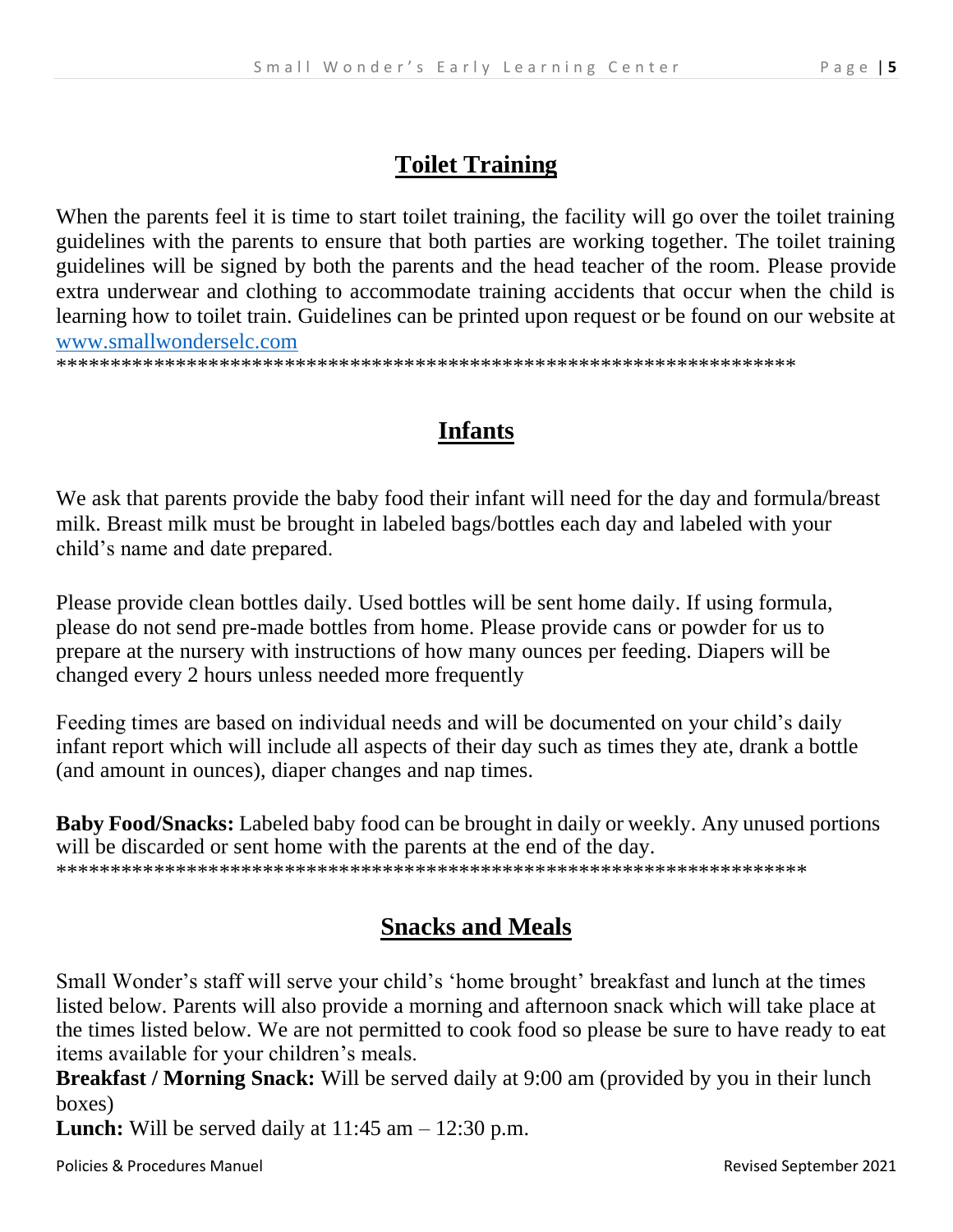## **Toilet Training**

When the parents feel it is time to start toilet training, the facility will go over the toilet training guidelines with the parents to ensure that both parties are working together. The toilet training guidelines will be signed by both the parents and the head teacher of the room. Please provide extra underwear and clothing to accommodate training accidents that occur when the child is learning how to toilet train. Guidelines can be printed upon request or be found on our website at [www.smallwonderselc.com](http://www.smallwonderselc.com/)

\*\*\*\*\*\*\*\*\*\*\*\*\*\*\*\*\*\*\*\*\*\*\*\*\*\*\*\*\*\*\*\*\*\*\*\*\*\*\*\*\*\*\*\*\*\*\*\*\*\*\*\*\*\*\*\*\*\*\*\*\*\*\*\*\*\*\*\*

## **Infants**

We ask that parents provide the baby food their infant will need for the day and formula/breast milk. Breast milk must be brought in labeled bags/bottles each day and labeled with your child's name and date prepared.

Please provide clean bottles daily. Used bottles will be sent home daily. If using formula, please do not send pre-made bottles from home. Please provide cans or powder for us to prepare at the nursery with instructions of how many ounces per feeding. Diapers will be changed every 2 hours unless needed more frequently

Feeding times are based on individual needs and will be documented on your child's daily infant report which will include all aspects of their day such as times they ate, drank a bottle (and amount in ounces), diaper changes and nap times.

**Baby Food/Snacks:** Labeled baby food can be brought in daily or weekly. Any unused portions will be discarded or sent home with the parents at the end of the day. \*\*\*\*\*\*\*\*\*\*\*\*\*\*\*\*\*\*\*\*\*\*\*\*\*\*\*\*\*\*\*\*\*\*\*\*\*\*\*\*\*\*\*\*\*\*\*\*\*\*\*\*\*\*\*\*\*\*\*\*\*\*\*\*\*\*\*\*\*

## **Snacks and Meals**

Small Wonder's staff will serve your child's 'home brought' breakfast and lunch at the times listed below. Parents will also provide a morning and afternoon snack which will take place at the times listed below. We are not permitted to cook food so please be sure to have ready to eat items available for your children's meals.

**Breakfast / Morning Snack:** Will be served daily at 9:00 am (provided by you in their lunch boxes)

**Lunch:** Will be served daily at  $11:45$  am  $-12:30$  p.m.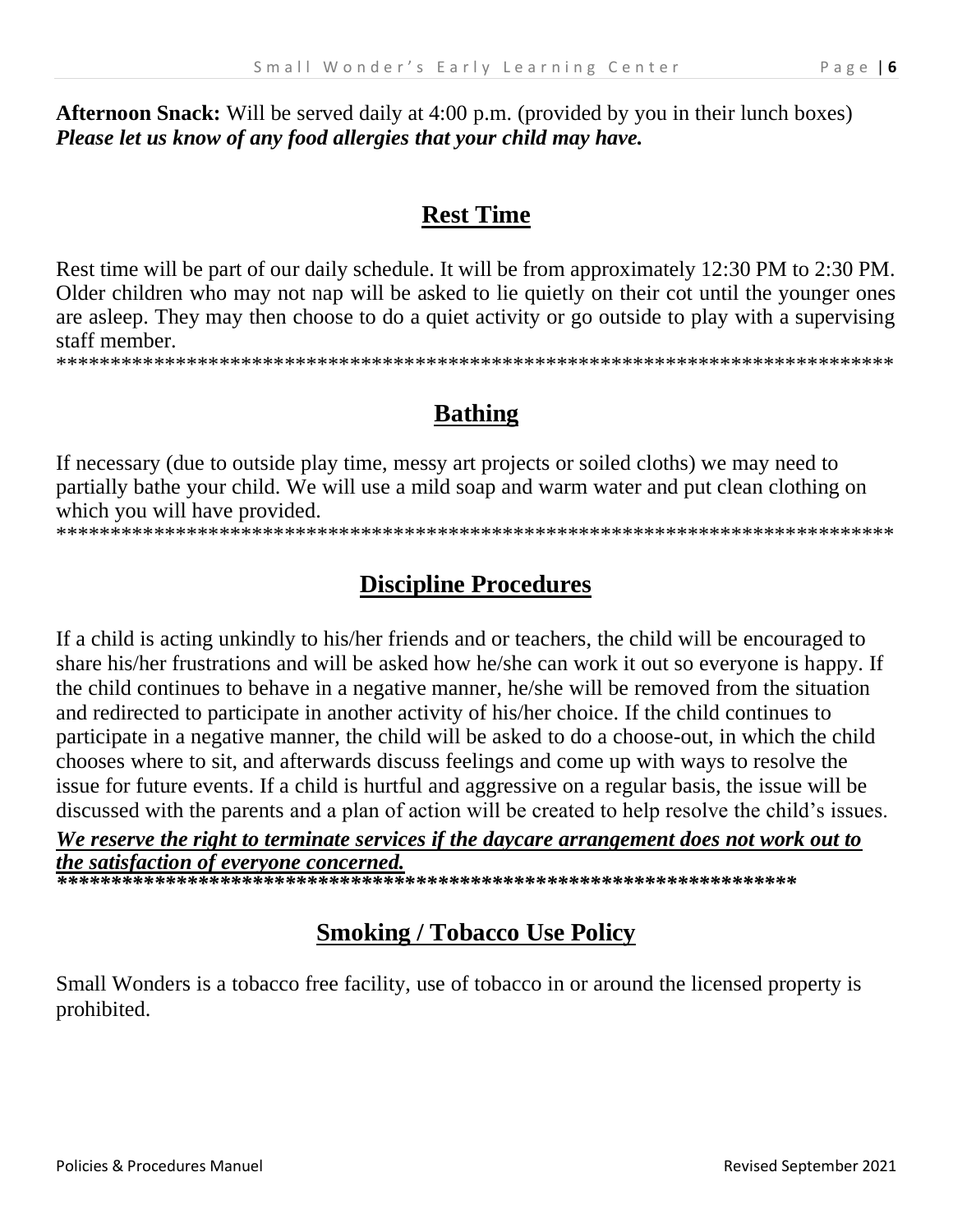**Afternoon Snack:** Will be served daily at 4:00 p.m. (provided by you in their lunch boxes) *Please let us know of any food allergies that your child may have.*

### **Rest Time**

Rest time will be part of our daily schedule. It will be from approximately 12:30 PM to 2:30 PM. Older children who may not nap will be asked to lie quietly on their cot until the younger ones are asleep. They may then choose to do a quiet activity or go outside to play with a supervising staff member.

\*\*\*\*\*\*\*\*\*\*\*\*\*\*\*\*\*\*\*\*\*\*\*\*\*\*\*\*\*\*\*\*\*\*\*\*\*\*\*\*\*\*\*\*\*\*\*\*\*\*\*\*\*\*\*\*\*\*\*\*\*\*\*\*\*\*\*\*\*\*\*\*\*\*\*\*\*

# **Bathing**

If necessary (due to outside play time, messy art projects or soiled cloths) we may need to partially bathe your child. We will use a mild soap and warm water and put clean clothing on which you will have provided.

\*\*\*\*\*\*\*\*\*\*\*\*\*\*\*\*\*\*\*\*\*\*\*\*\*\*\*\*\*\*\*\*\*\*\*\*\*\*\*\*\*\*\*\*\*\*\*\*\*\*\*\*\*\*\*\*\*\*\*\*\*\*\*\*\*\*\*\*\*\*\*\*\*\*\*\*\*

# **Discipline Procedures**

If a child is acting unkindly to his/her friends and or teachers, the child will be encouraged to share his/her frustrations and will be asked how he/she can work it out so everyone is happy. If the child continues to behave in a negative manner, he/she will be removed from the situation and redirected to participate in another activity of his/her choice. If the child continues to participate in a negative manner, the child will be asked to do a choose-out, in which the child chooses where to sit, and afterwards discuss feelings and come up with ways to resolve the issue for future events. If a child is hurtful and aggressive on a regular basis, the issue will be discussed with the parents and a plan of action will be created to help resolve the child's issues.

#### *We reserve the right to terminate services if the daycare arrangement does not work out to the satisfaction of everyone concerned.*

*\*\*\*\*\*\*\*\*\*\*\*\*\*\*\*\*\*\*\*\*\*\*\*\*\*\*\*\*\*\*\*\*\*\*\*\*\*\*\*\*\*\*\*\*\*\*\*\*\*\*\*\*\*\*\*\*\*\*\*\*\*\*\*\*\*\*\*\**

# **Smoking / Tobacco Use Policy**

Small Wonders is a tobacco free facility, use of tobacco in or around the licensed property is prohibited.